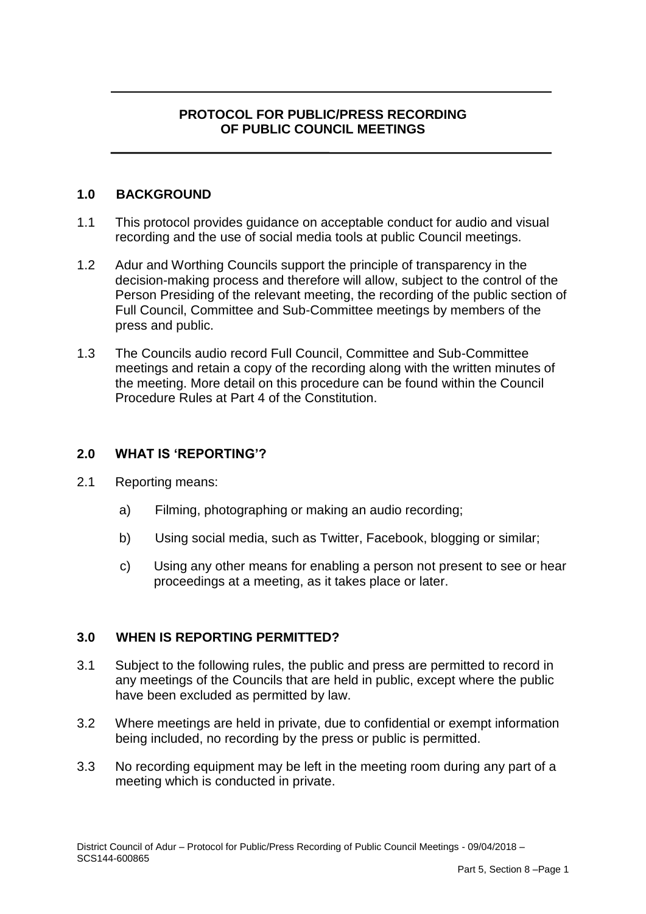# **PROTOCOL FOR PUBLIC/PRESS RECORDING OF PUBLIC COUNCIL MEETINGS**

## **1.0 BACKGROUND**

- 1.1 This protocol provides guidance on acceptable conduct for audio and visual recording and the use of social media tools at public Council meetings.
- 1.2 Adur and Worthing Councils support the principle of transparency in the decision-making process and therefore will allow, subject to the control of the Person Presiding of the relevant meeting, the recording of the public section of Full Council, Committee and Sub-Committee meetings by members of the press and public.
- 1.3 The Councils audio record Full Council, Committee and Sub-Committee meetings and retain a copy of the recording along with the written minutes of the meeting. More detail on this procedure can be found within the Council Procedure Rules at Part 4 of the Constitution.

#### **2.0 WHAT IS 'REPORTING'?**

- 2.1 Reporting means:
	- a) Filming, photographing or making an audio recording;
	- b) Using social media, such as Twitter, Facebook, blogging or similar;
	- c) Using any other means for enabling a person not present to see or hear proceedings at a meeting, as it takes place or later.

# **3.0 WHEN IS REPORTING PERMITTED?**

- 3.1 Subject to the following rules, the public and press are permitted to record in any meetings of the Councils that are held in public, except where the public have been excluded as permitted by law.
- 3.2 Where meetings are held in private, due to confidential or exempt information being included, no recording by the press or public is permitted.
- 3.3 No recording equipment may be left in the meeting room during any part of a meeting which is conducted in private.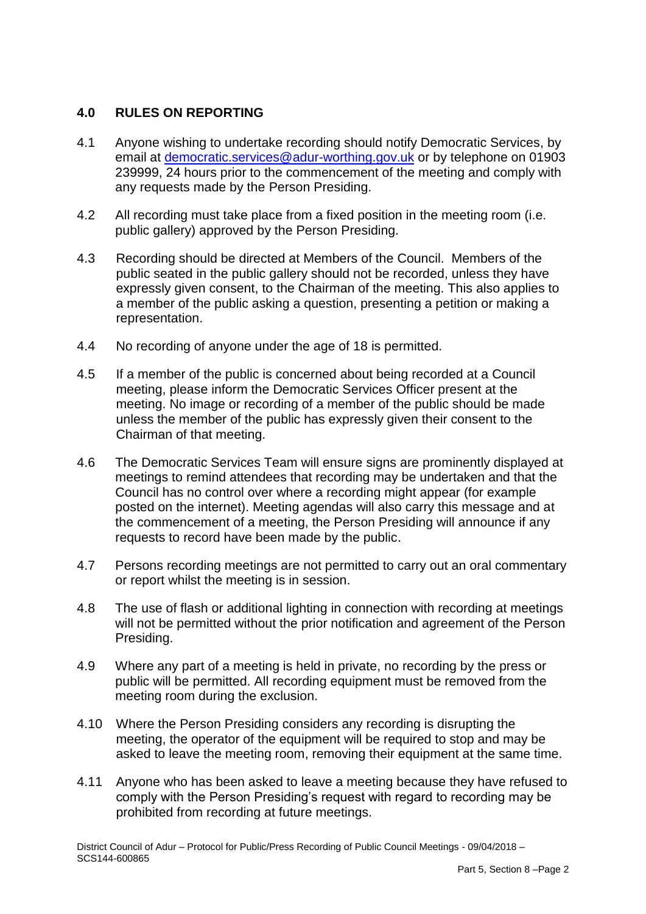## **4.0 RULES ON REPORTING**

- 4.1 Anyone wishing to undertake recording should notify Democratic Services, by email at [democratic.services@adur-worthing.gov.uk](mailto:democratic.services@adur-worthing.gov.uk) or by telephone on 01903 239999, 24 hours prior to the commencement of the meeting and comply with any requests made by the Person Presiding.
- 4.2 All recording must take place from a fixed position in the meeting room (i.e. public gallery) approved by the Person Presiding.
- 4.3 Recording should be directed at Members of the Council. Members of the public seated in the public gallery should not be recorded, unless they have expressly given consent, to the Chairman of the meeting. This also applies to a member of the public asking a question, presenting a petition or making a representation.
- 4.4 No recording of anyone under the age of 18 is permitted.
- 4.5 If a member of the public is concerned about being recorded at a Council meeting, please inform the Democratic Services Officer present at the meeting. No image or recording of a member of the public should be made unless the member of the public has expressly given their consent to the Chairman of that meeting.
- 4.6 The Democratic Services Team will ensure signs are prominently displayed at meetings to remind attendees that recording may be undertaken and that the Council has no control over where a recording might appear (for example posted on the internet). Meeting agendas will also carry this message and at the commencement of a meeting, the Person Presiding will announce if any requests to record have been made by the public.
- 4.7 Persons recording meetings are not permitted to carry out an oral commentary or report whilst the meeting is in session.
- 4.8 The use of flash or additional lighting in connection with recording at meetings will not be permitted without the prior notification and agreement of the Person Presiding.
- 4.9 Where any part of a meeting is held in private, no recording by the press or public will be permitted. All recording equipment must be removed from the meeting room during the exclusion.
- 4.10 Where the Person Presiding considers any recording is disrupting the meeting, the operator of the equipment will be required to stop and may be asked to leave the meeting room, removing their equipment at the same time.
- 4.11 Anyone who has been asked to leave a meeting because they have refused to comply with the Person Presiding's request with regard to recording may be prohibited from recording at future meetings.